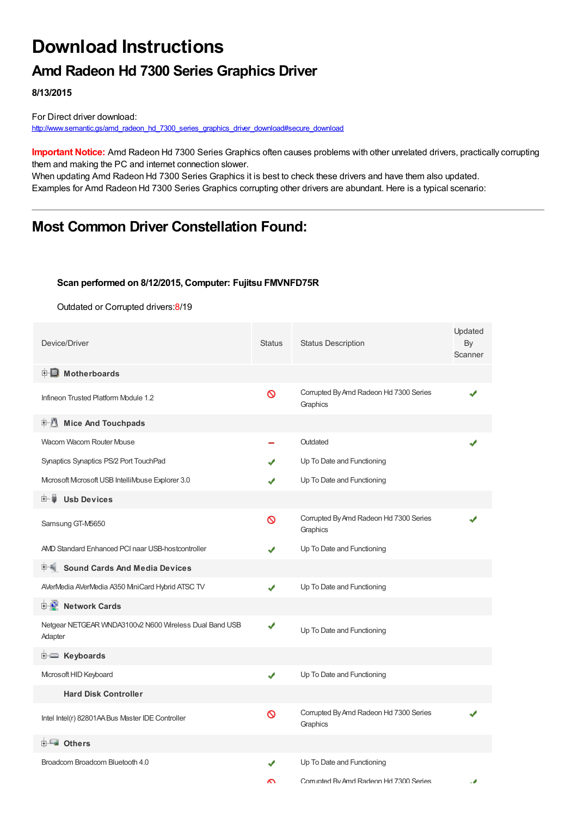# **Download Instructions**

## **Amd Radeon Hd 7300 Series Graphics Driver**

**8/13/2015**

For Direct driver download: [http://www.semantic.gs/amd\\_radeon\\_hd\\_7300\\_series\\_graphics\\_driver\\_download#secure\\_download](http://www.semantic.gs/amd_radeon_hd_7300_series_graphics_driver_download#secure_download)

**Important Notice:** Amd Radeon Hd 7300 Series Graphics often causes problems with other unrelated drivers, practically corrupting them and making the PC and internet connection slower.

When updating Amd Radeon Hd 7300 Series Graphics it is best to check these drivers and have them also updated. Examples for Amd Radeon Hd 7300 Series Graphics corrupting other drivers are abundant. Here is a typical scenario:

## **Most Common Driver Constellation Found:**

#### **Scan performed on 8/12/2015, Computer: Fujitsu FMVNFD75R**

Outdated or Corrupted drivers:8/19

| Device/Driver                                                     | <b>Status</b> | <b>Status Description</b>                          | Updated<br>By<br>Scanner |
|-------------------------------------------------------------------|---------------|----------------------------------------------------|--------------------------|
| <b>E</b> Motherboards                                             |               |                                                    |                          |
| Infineon Trusted Platform Module 1.2                              | Ø             | Corrupted By Amd Radeon Hd 7300 Series<br>Graphics |                          |
| <b>Mice And Touchpads</b>                                         |               |                                                    |                          |
| Wacom Wacom Router Mouse                                          |               | Outdated                                           |                          |
| Synaptics Synaptics PS/2 Port TouchPad                            |               | Up To Date and Functioning                         |                          |
| Microsoft Microsoft USB IntelliMouse Explorer 3.0                 |               | Up To Date and Functioning                         |                          |
| <b>Usb Devices</b><br>田…自                                         |               |                                                    |                          |
| Samsung GT-M5650                                                  | Ø             | Corrupted By Amd Radeon Hd 7300 Series<br>Graphics |                          |
| AMD Standard Enhanced PCI naar USB-hostcontroller                 |               | Up To Date and Functioning                         |                          |
| 中 <sup>制</sup> Sound Cards And Media Devices                      |               |                                                    |                          |
| AVerMedia AVerMedia A350 MiniCard Hybrid ATSC TV                  | ✔             | Up To Date and Functioning                         |                          |
| <b>中夏</b> Network Cards                                           |               |                                                    |                          |
| Netgear NETGEAR WNDA3100v2 N600 Wireless Dual Band USB<br>Adapter | ✔             | Up To Date and Functioning                         |                          |
| E Keyboards                                                       |               |                                                    |                          |
| Microsoft HID Keyboard                                            | ✔             | Up To Date and Functioning                         |                          |
| <b>Hard Disk Controller</b>                                       |               |                                                    |                          |
| Intel Intel(r) 82801AA Bus Master IDE Controller                  | 0             | Corrupted By Amd Radeon Hd 7300 Series<br>Graphics |                          |
| 由 <b>Lu</b> Others                                                |               |                                                    |                          |
| Broadcom Broadcom Bluetooth 4.0                                   |               | Up To Date and Functioning                         |                          |
|                                                                   | ົ             | Corrunted By Amd Radeon Hd 7300 Series             |                          |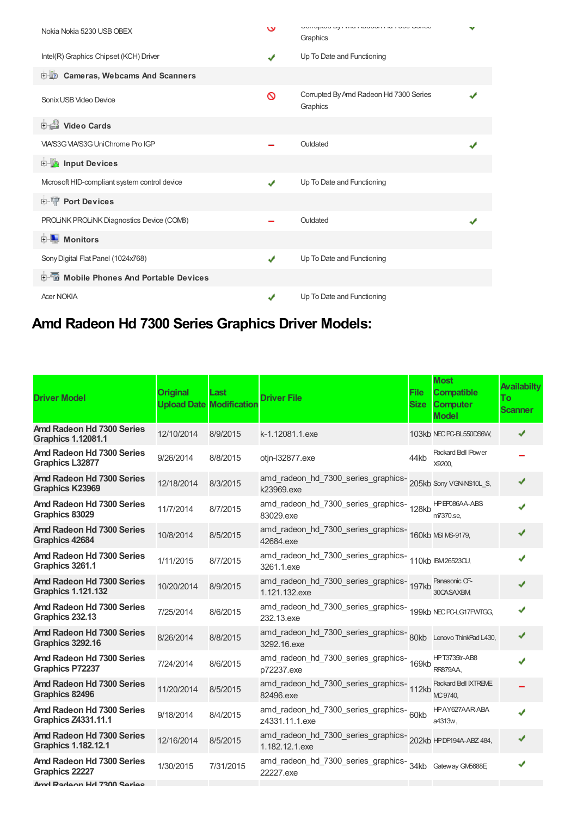| Nokia Nokia 5230 USB OBEX                     | $\check{}$ | Unitapida by mian saabon't is not obtion<br>Graphics |  |
|-----------------------------------------------|------------|------------------------------------------------------|--|
| Intel(R) Graphics Chipset (KCH) Driver        |            | Up To Date and Functioning                           |  |
| <b>D</b> Cameras, Webcams And Scanners        |            |                                                      |  |
| Sonix USB Video Device                        | ⊚          | Corrupted By Amd Radeon Hd 7300 Series<br>Graphics   |  |
| <b>Dideo Cards</b>                            |            |                                                      |  |
| VIA/S3G VIA/S3G UniChrome Pro IGP             |            | Outdated                                             |  |
| <b>Devices</b> Input Devices                  |            |                                                      |  |
| Mcrosoft HID-compliant system control device  | J          | Up To Date and Functioning                           |  |
| <b>E-19 Port Devices</b>                      |            |                                                      |  |
| PROLINK PROLINK Diagnostics Device (COMB)     |            | Outdated                                             |  |
| <b>E</b> Monitors                             |            |                                                      |  |
| Sony Digital Flat Panel (1024x768)            |            | Up To Date and Functioning                           |  |
| <b>E-6</b> Mobile Phones And Portable Devices |            |                                                      |  |
| <b>Acer NOKIA</b>                             |            | Up To Date and Functioning                           |  |

## **Amd Radeon Hd 7300 Series Graphics Driver Models:**

| <b>Driver Model</b>                                     | <b>Original</b> | Last<br><b>Upload Date Modification</b> | <b>Driver File</b>                                                               | <b>File</b><br><b>Size</b> | <b>Most</b><br><b>Compatible</b><br><b>Computer</b><br><b>Model</b> | <b>Availabilty</b><br>Тo<br><b>Scanner</b> |
|---------------------------------------------------------|-----------------|-----------------------------------------|----------------------------------------------------------------------------------|----------------------------|---------------------------------------------------------------------|--------------------------------------------|
| Amd Radeon Hd 7300 Series<br><b>Graphics 1.12081.1</b>  | 12/10/2014      | 8/9/2015                                | k-1.12081.1.exe                                                                  |                            | 103kb NEC PC-BL550DS6W,                                             |                                            |
| Amd Radeon Hd 7300 Series<br><b>Graphics L32877</b>     | 9/26/2014       | 8/8/2015                                | otjn-l32877.exe                                                                  | 44kb                       | Packard Bell IPower<br>X9200.                                       |                                            |
| Amd Radeon Hd 7300 Series<br><b>Graphics K23969</b>     | 12/18/2014      | 8/3/2015                                | amd_radeon_hd_7300_series_graphics-<br>205kb Sony VGN-NS10L_S,<br>k23969.exe     |                            |                                                                     |                                            |
| Amd Radeon Hd 7300 Series<br>Graphics 83029             | 11/7/2014       | 8/7/2015                                | amd_radeon_hd_7300_series_graphics-<br>128kb<br>83029.exe                        |                            | HPEP086AA-ABS<br>m7370.se,                                          |                                            |
| Amd Radeon Hd 7300 Series<br>Graphics 42684             | 10/8/2014       | 8/5/2015                                | amd_radeon_hd_7300_series_graphics-<br>160kb MSIMS-9179,<br>42684.exe            |                            |                                                                     |                                            |
| Amd Radeon Hd 7300 Series<br>Graphics 3261.1            | 1/11/2015       | 8/7/2015                                | amd_radeon_hd_7300_series_graphics-<br>110kb IBM26523CU,<br>3261.1.exe           |                            |                                                                     |                                            |
| Amd Radeon Hd 7300 Series<br><b>Graphics 1.121.132</b>  | 10/20/2014      | 8/9/2015                                | amd_radeon_hd_7300_series_graphics-<br>197kb<br>1.121.132.exe                    |                            | Panasonic CF-<br>30CASAXBM,                                         |                                            |
| Amd Radeon Hd 7300 Series<br>Graphics 232.13            | 7/25/2014       | 8/6/2015                                | amd_radeon_hd_7300_series_graphics-<br>199kb NECPC-LG17FWTGG,<br>232.13.exe      |                            |                                                                     |                                            |
| Amd Radeon Hd 7300 Series<br><b>Graphics 3292.16</b>    | 8/26/2014       | 8/8/2015                                | amd_radeon_hd_7300_series_graphics-<br>80kb Lenovo ThinkPad L430,<br>3292.16.exe |                            |                                                                     |                                            |
| Amd Radeon Hd 7300 Series<br>Graphics P72237            | 7/24/2014       | 8/6/2015                                | amd_radeon_hd_7300_series_graphics-<br>169kb<br>p72237.exe                       |                            | HPT3735tr-AB8<br><b>RR879AA,</b>                                    |                                            |
| Amd Radeon Hd 7300 Series<br>Graphics 82496             | 11/20/2014      | 8/5/2015                                | amd_radeon_hd_7300_series_graphics-<br>112kb<br>82496.exe                        |                            | Packard Bell IXTREME<br>MC 9740.                                    |                                            |
| Amd Radeon Hd 7300 Series<br><b>Graphics Z4331.11.1</b> | 9/18/2014       | 8/4/2015                                | amd_radeon_hd_7300_series_graphics-60kb<br>z4331.11.1.exe                        |                            | HPAY627AAR-ABA<br>a4313w,                                           |                                            |
| Amd Radeon Hd 7300 Series<br><b>Graphics 1.182.12.1</b> | 12/16/2014      | 8/5/2015                                | amd_radeon_hd_7300_series_graphics-<br>202kb HPDF194A-ABZ484,<br>1.182.12.1.exe  |                            |                                                                     |                                            |
| Amd Radeon Hd 7300 Series<br>Graphics 22227             | 1/30/2015       | 7/31/2015                               | amd_radeon_hd_7300_series_graphics-<br>34kb Gateway GM5688E,<br>22227.exe        |                            |                                                                     |                                            |

**Amd Radeon Hd 7300 Series**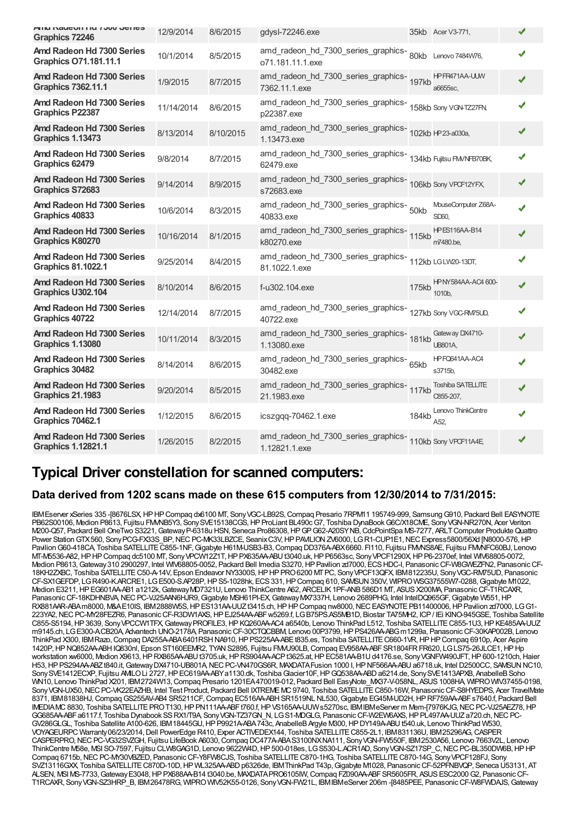| יווא ולאטשטו ווען ויטשטאן וויס<br>Graphics 72246          | 12/9/2014  | 8/6/2015  | gdysl-72246.exe                                                                 |       | 35kb Acer V3-771,                       |  |
|-----------------------------------------------------------|------------|-----------|---------------------------------------------------------------------------------|-------|-----------------------------------------|--|
| Amd Radeon Hd 7300 Series<br><b>Graphics O71.181.11.1</b> | 10/1/2014  | 8/5/2015  | amd_radeon_hd_7300_series_graphics-<br>80kb Lenovo 7484W76,<br>o71.181.11.1.exe |       |                                         |  |
| Amd Radeon Hd 7300 Series<br><b>Graphics 7362.11.1</b>    | 1/9/2015   | 8/7/2015  | amd_radeon_hd_7300_series_graphics-<br>197kb<br>7362.11.1.exe                   |       | HPFR471AA-UUW<br>a6655sc,               |  |
| Amd Radeon Hd 7300 Series<br><b>Graphics P22387</b>       | 11/14/2014 | 8/6/2015  | amd_radeon_hd_7300_series_graphics-<br>158kb Sony VGN-TZ27FN<br>p22387.exe      |       |                                         |  |
| Amd Radeon Hd 7300 Series<br>Graphics 1.13473             | 8/13/2014  | 8/10/2015 | amd_radeon_hd_7300_series_graphics-<br>102kb I+P23-a030a,<br>1.13473.exe        |       |                                         |  |
| Amd Radeon Hd 7300 Series<br>Graphics 62479               | 9/8/2014   | 8/7/2015  | amd_radeon_hd_7300_series_graphics-<br>134kb Fujitsu FM/NFB70BK,<br>62479.exe   |       |                                         |  |
| Amd Radeon Hd 7300 Series<br><b>Graphics S72683</b>       | 9/14/2014  | 8/9/2015  | amd_radeon_hd_7300_series_graphics-<br>106kb Sony VPCF12YFX,<br>s72683.exe      |       |                                         |  |
| Amd Radeon Hd 7300 Series<br>Graphics 40833               | 10/6/2014  | 8/3/2015  | amd_radeon_hd_7300_series_graphics- 50kb<br>40833.exe                           |       | MouseComputer Z68A-<br>SD60.            |  |
| Amd Radeon Hd 7300 Series<br><b>Graphics K80270</b>       | 10/16/2014 | 8/1/2015  | amd_radeon_hd_7300_series_graphics-<br>115kb<br>k80270.exe                      |       | <b>HPES116AA-B14</b><br>m7480.be.       |  |
| Amd Radeon Hd 7300 Series<br><b>Graphics 81.1022.1</b>    | 9/25/2014  | 8/4/2015  | amd_radeon_hd_7300_series_graphics-<br>112kb LGLW20-13DT,<br>81.1022.1.exe      |       |                                         |  |
| Amd Radeon Hd 7300 Series<br>Graphics U302.104            | 8/10/2014  | 8/6/2015  | f-u302.104.exe                                                                  | 175kb | HPNY584AA-AC4 600-<br>1010 <sub>b</sub> |  |
| Amd Radeon Hd 7300 Series<br>Graphics 40722               | 12/14/2014 | 8/7/2015  | amd_radeon_hd_7300_series_graphics-<br>127kb Sony VGC-RW75UD,<br>40722.exe      |       |                                         |  |
| Amd Radeon Hd 7300 Series<br><b>Graphics 1.13080</b>      | 10/11/2014 | 8/3/2015  | amd_radeon_hd_7300_series_graphics-<br>181kb<br>1.13080.exe                     |       | Gateway DX4710-<br><b>UB801A.</b>       |  |
| Amd Radeon Hd 7300 Series<br>Graphics 30482               | 8/14/2014  | 8/6/2015  | amd_radeon_hd_7300_series_graphics-65kb<br>30482.exe                            |       | HPFQ641AA-AC4<br>s3715b,                |  |
| Amd Radeon Hd 7300 Series<br>Graphics 21.1983             | 9/20/2014  | 8/5/2015  | amd_radeon_hd_7300_series_graphics-<br>117kb<br>21.1983.exe                     |       | Toshiba SATELLITE<br>C855-207,          |  |
| Amd Radeon Hd 7300 Series<br><b>Graphics 70462.1</b>      | 1/12/2015  | 8/6/2015  | $icsz$ ggg- $70462.1$ .exe                                                      | 184kb | Lenovo ThinkCentre<br>A52.              |  |
| Amd Radeon Hd 7300 Series<br><b>Graphics 1.12821.1</b>    | 1/26/2015  | 8/2/2015  | amd_radeon_hd_7300_series_graphics-<br>110kb Sony VPCF11A4E,<br>1.12821.1.exe   |       |                                         |  |

### **Typical Driver constellation for scanned computers:**

#### **Data derived from 1202 scans made on these 615 computers from 12/30/2014 to 7/31/2015:**

IBMEserver xSeries 335 -[8676LSX,HPHPCompaq dx6100 MT, SonyVGC-LB92S,Compaq Presario 7RPM11 195749-999, SamsungG910, Packard Bell EASYNOTE PB62S00106, Medion P8613, Fujitsu FMMB5Y3, Sony SVE15138CGS, HP ProLiant BL490cG7, Toshiba DynaBook G6C/X18CME, Sony VGN-NR270N, Acer Veriton M200-Q57, Packard Bell OneTwo S3221,GatewayP-6318u HSN, Seneca Pro86308,HPGPG62-A20SYNB,CdcPointSpa MS-7277, ARLTComputer ProdukteQuattro Power Station GTX560, Sony PCG-FX33S\_BP, NEC PC-MK33LBZCE, Seanix C3V, HP PAVILION ZV6000, LGR1-CUP1E1, NEC Express5800/56Xd [N8000-576, HP Pavilion G60-418CA, Toshiba SATELLITE C855-1NF, Gigabyte H61M-USB3-B3, Compaq DD376A-ABX6660. FI110, Fujitsu FMMS8AE, Fujitsu FMMFC60BJ, Lenovo MT-M5536-A82,HPHPCompaq dc5100 MT, SonyVPCW12Z1T,HPPX635AA-ABUt3040.uk,HPP6563sc, SonyVPCF1290X,HPP6-2370ef, Intel WIV68805-0072, Medion P8613, Gateway 310 2900297, Intel WIV68805-0052, Packard Bell Imedia S3270, HP Pavilion zd7000, ECS HDC-I, Panasonic CF-W8GWEZFN2, Panasonic CF-18KH2ZXBC, Toshiba SATELLITEC50-A-14V, Epson Endeavor NY3300S,HPHPPRO6200 MTPC, SonyVPCF13QFX, IBM812235U, SonyVGC-RM75UD, Panasonic CF-SX1GEFDP, LGR490-K.ARCRE1, LGE500-S.AP28P,HPS5-1028hk, ECS331,HPCompaq 610, SAMSUN350V, WIPROWSG37555W7-0288,Gigabyte M1022, Medion E3211, HP EG601AA-AB1 a1212k, Gateway MD7321U, Lenovo ThinkCentre A62, ARCELIK 1PF-ANB 586D1 MT, ASUS X200MA, Panasonic CF-T1RCAXR, Panasonic CF-18KDHNBVA, NEC PC-VJ25AAN6HJR9, Gigabyte MSH61PI-EX, Gateway MX7337H, Lenovo 2689PHG, Intel IntelDQ965GF, Gigabyte W551, HP RX881AAR-ABAm8000, M&AE10IS, IBM2888W5S, HP ES131AA-UUZt3415.ch, HP HP Compaq nw8000, NEC EASYNOTE PB11400006, HP Pavilion zd7000, LGG1-223YA2,NECPC-MY28FEZR6, PanasonicCF-R3DW1AXS,HPEJ254AA-ABFw5269.f, LGB75PS.AS5MB1D, Biostar TA75MH2, ICP/ IEi KINO-945GSE, Toshiba Satellite C855-S5194,HP3639, SonyVPCCW1TFX,GatewayPROFILE3,HPKQ260AA-AC4 a6540b, Lenovo ThinkPad L512, Toshiba SATELLITEC855-1U3,HPKE485AA-UUZ m9145.ch, LGE300-A.CB20A, Advantech UNO-2178A, PanasonicCF-30CTQCBBM, Lenovo 00P3799,HPPS426AA-ABGm1299a, PanasonicCF-30KAP002B, Lenovo ThinkPad X300, IBMRazo,Compaq DA255A-ABA6401RSHNA910,HPPS225AA-ABEt835.es, Toshiba SATELLITEC660-1VR,HPHPCompaq 6910p, Acer Aspire 1420P,HPNQ852AA-ABHIQ830nl, Epson ST160EEMR2, TYANS2895, Fujitsu FMVU90LB,Compaq EV958AA-ABFSR1804FRFR620, LGLS75-26JLCE1,HPHp workstation xw6000, Medion X9613,HPRX865AA-ABUt3705.uk,HPRS904AA-ACPt3625.at,HPEC581AA-B1Ud4176.se, SonyVGNFW490JFT,HP600-1210ch,Haier H53, HP PS294AA-ABZt840.it, GatewayDX4710-UB801A, NEC PC-VN470GS6R, MAXDATA Fusion 1000 I, HP NF566AA-ABU a6718.uk, Intel D2500CC, SAVSUN NC10, SonySVE1412ECXP, Fujitsu AMLO Li 2727, HP EC619AA-ABY a1130.dk, Toshiba Glacier10F, HP GQ538AA-ABD a6214.de, SonySVE1413APXB, AnabelleB Soho WN10, Lenovo ThinkPad X201, IBM2724W13,Compaq Presario 1201EA470019-012, Packard Bell EasyNote\_MX37-V-058NL, ASUS1008HA, WIPROWIV37455-0198, Sony VGN-UX50, NEC PC-VK22EAZHB, Intel Test Product, Packard Bell IXTREME MC 9740, Toshiba SATELLITE C850-16W, Panasonic CF-S8HYEDPS, Acer TravelMate 8371, IBM81838HJ,CompaqGS255AV-AB4 SR5211CF,Compaq EC516AA-ABHSR1519NL NL530,Gigabyte EG45M-UD2H,HPRF759AA-ABFs7640.f, Packard Bell IMEDIAMC 8830, Toshiba SATELLITE PRO T130, HP PN111AA-ABFt760.f, HP VS165AA-UUW s5270sc, IBM IBMeServer m Mem-[7976KJG, NEC PC-VJ25AEZ78, HP GG685AA-ABFa6117.f, Toshiba Dynabook SSRX1/T9A, SonyVGN-TZ37GN\_N, LGS1-MDGLG, PanasonicCF-W2EW6AXS,HPPL497AA-UUZa720.ch,NECPC-GV286GLGL, Toshiba Satellite A100-626, IBM18445GU, HP P9921A-ABA743c, AnabelleB Argyle M300, HP DY149A-ABU t540.uk, Lenovo ThinkPad W530, VOYAGEURPC Warranty06/23/2014,Dell PowerEdge R410, Exper ACTIVEDEX144, Toshiba SATELLITEC855-2L1, IBM831136U, IBM25296AG,CASPER CASPERPRO,NECPC-VG32SVZGH, Fujitsu LifeBook A6030,Compaq DC477A-ABAS3100NXNA111, SonyVGN-FW550F, IBM2530A56, Lenovo 7663V2L, Lenovo ThinkCentre M58e, MSI SO-7597, Fujitsu CLW8GAG1D, Lenovo 9622W4D, HP 500-018es, LG S530-L.ACR1AD, Sony VGN-SZ17SP\_C, NEC PC-BL350DW6B, HP HP Compaq 6715b, NEC PC-MY30VBZED, Panasonic CF-Y8FW8CJS, Toshiba SATELLITE C870-1HG, Toshiba SATELLITE C870-14G, SonyVPCF128FJ, Sony SVZ13116GXX, Toshiba SATELLITE C870D-10D, HP WL325AA-ABD p6326de, IBM ThinkPad T43p, Gigabyte M1028, Panasonic CF-52PFNBVQP, Seneca U53131, AT ALSEN, MSI MS-7733,GatewayE3048,HPPX688AA-B14 t3040.be, MAXDATAPRO6105IW,Compaq FZ090AA-ABFSR5605FR, ASUSESC2000G2, PanasonicCF-T1RCAXR, SonyVGN-SZ3HRP\_B, IBM26478RG, WIPROWIV52K55-0126, SonyVGN-FW21L, IBMIBMeServer 206m -[8485PEE, PanasonicCF-W8FWDAJS,Gateway